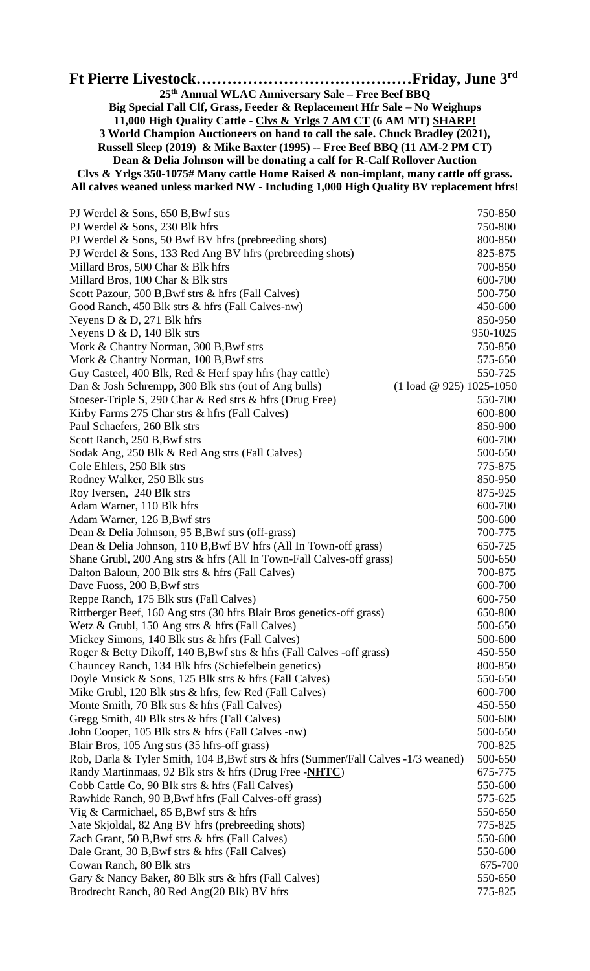| 25th Annual WLAC Anniversary Sale - Free Beef BBQ                                                                                                      |                                                  |  |
|--------------------------------------------------------------------------------------------------------------------------------------------------------|--------------------------------------------------|--|
| Big Special Fall Clf, Grass, Feeder & Replacement Hfr Sale - No Weighups                                                                               |                                                  |  |
| 11,000 High Quality Cattle - Clvs & Yrlgs 7 AM CT (6 AM MT) SHARP!                                                                                     |                                                  |  |
| 3 World Champion Auctioneers on hand to call the sale. Chuck Bradley (2021),                                                                           |                                                  |  |
| Russell Sleep (2019) & Mike Baxter (1995) -- Free Beef BBQ (11 AM-2 PM CT)<br>Dean & Delia Johnson will be donating a calf for R-Calf Rollover Auction |                                                  |  |
| Clvs & Yrlgs 350-1075# Many cattle Home Raised & non-implant, many cattle off grass.                                                                   |                                                  |  |
| All calves weaned unless marked NW - Including 1,000 High Quality BV replacement hfrs!                                                                 |                                                  |  |
|                                                                                                                                                        |                                                  |  |
| PJ Werdel $\&$ Sons, 650 B, Bwf strs                                                                                                                   | 750-850                                          |  |
| PJ Werdel & Sons, 230 Blk hfrs                                                                                                                         | 750-800                                          |  |
| PJ Werdel & Sons, 50 Bwf BV hfrs (prebreeding shots)                                                                                                   | 800-850                                          |  |
| PJ Werdel & Sons, 133 Red Ang BV hfrs (prebreeding shots)<br>Millard Bros, 500 Char & Blk hfrs                                                         | 825-875<br>700-850                               |  |
| Millard Bros, 100 Char & Blk strs                                                                                                                      | 600-700                                          |  |
| Scott Pazour, 500 B, Bwf strs & hfrs (Fall Calves)                                                                                                     | 500-750                                          |  |
| Good Ranch, 450 Blk strs & hfrs (Fall Calves-nw)                                                                                                       | 450-600                                          |  |
| Neyens D $& D$ , 271 Blk hfrs                                                                                                                          | 850-950                                          |  |
| Neyens $D & D$ , 140 Blk strs                                                                                                                          | 950-1025                                         |  |
| Mork & Chantry Norman, 300 B, Bwf strs                                                                                                                 | 750-850                                          |  |
| Mork & Chantry Norman, 100 B, Bwf strs                                                                                                                 | 575-650                                          |  |
| Guy Casteel, 400 Blk, Red & Herf spay hfrs (hay cattle)                                                                                                | 550-725                                          |  |
| Dan & Josh Schrempp, 300 Blk strs (out of Ang bulls)<br>Stoeser-Triple S, 290 Char & Red strs & hfrs (Drug Free)                                       | $(1 \text{ load } @ 925) 1025 - 1050$<br>550-700 |  |
| Kirby Farms 275 Char strs & hfrs (Fall Calves)                                                                                                         | 600-800                                          |  |
| Paul Schaefers, 260 Blk strs                                                                                                                           | 850-900                                          |  |
| Scott Ranch, 250 B, Bwf strs                                                                                                                           | 600-700                                          |  |
| Sodak Ang, 250 Blk & Red Ang strs (Fall Calves)                                                                                                        | 500-650                                          |  |
| Cole Ehlers, 250 Blk strs                                                                                                                              | 775-875                                          |  |
| Rodney Walker, 250 Blk strs                                                                                                                            | 850-950                                          |  |
| Roy Iversen, 240 Blk strs                                                                                                                              | 875-925                                          |  |
| Adam Warner, 110 Blk hfrs<br>Adam Warner, 126 B,Bwf strs                                                                                               | 600-700<br>500-600                               |  |
| Dean & Delia Johnson, 95 B, Bwf strs (off-grass)                                                                                                       | 700-775                                          |  |
| Dean & Delia Johnson, 110 B, Bwf BV hfrs (All In Town-off grass)                                                                                       | 650-725                                          |  |
| Shane Grubl, 200 Ang strs & hfrs (All In Town-Fall Calves-off grass)                                                                                   | 500-650                                          |  |
| Dalton Baloun, 200 Blk strs & hfrs (Fall Calves)                                                                                                       | 700-875                                          |  |
| Dave Fuoss, 200 B, Bwf strs                                                                                                                            | 600-700                                          |  |
| Reppe Ranch, 175 Blk strs (Fall Calves)                                                                                                                | 600-750                                          |  |
| Rittberger Beef, 160 Ang strs (30 hfrs Blair Bros genetics-off grass)                                                                                  | 650-800                                          |  |
| Wetz & Grubl, 150 Ang strs & hfrs (Fall Calves)                                                                                                        | 500-650                                          |  |
| Mickey Simons, 140 Blk strs & hfrs (Fall Calves)<br>Roger & Betty Dikoff, 140 B, Bwf strs & hfrs (Fall Calves -off grass)                              | 500-600<br>450-550                               |  |
| Chauncey Ranch, 134 Blk hfrs (Schiefelbein genetics)                                                                                                   | 800-850                                          |  |
| Doyle Musick & Sons, 125 Blk strs & hfrs (Fall Calves)                                                                                                 | 550-650                                          |  |
| Mike Grubl, 120 Blk strs & hfrs, few Red (Fall Calves)                                                                                                 | 600-700                                          |  |
| Monte Smith, 70 Blk strs & hfrs (Fall Calves)                                                                                                          | 450-550                                          |  |
| Gregg Smith, 40 Blk strs & hfrs (Fall Calves)                                                                                                          | 500-600                                          |  |
| John Cooper, 105 Blk strs & hfrs (Fall Calves -nw)                                                                                                     | 500-650                                          |  |
| Blair Bros, 105 Ang strs (35 hfrs-off grass)                                                                                                           | 700-825                                          |  |
| Rob, Darla & Tyler Smith, 104 B, Bwf strs & hfrs (Summer/Fall Calves -1/3 weaned)<br>Randy Martinmaas, 92 Blk strs & hfrs (Drug Free -NHTC)            | 500-650<br>675-775                               |  |
| Cobb Cattle Co, 90 Blk strs & hfrs (Fall Calves)                                                                                                       | 550-600                                          |  |
| Rawhide Ranch, 90 B, Bwf hfrs (Fall Calves-off grass)                                                                                                  | 575-625                                          |  |
| Vig & Carmichael, 85 B, Bwf strs & hfrs                                                                                                                | 550-650                                          |  |
| Nate Skjoldal, 82 Ang BV hfrs (prebreeding shots)                                                                                                      | 775-825                                          |  |
| Zach Grant, 50 B, Bwf strs & hfrs (Fall Calves)                                                                                                        | 550-600                                          |  |
| Dale Grant, 30 B, Bwf strs & hfrs (Fall Calves)                                                                                                        | 550-600                                          |  |
| Cowan Ranch, 80 Blk strs                                                                                                                               | 675-700                                          |  |
| Gary & Nancy Baker, 80 Blk strs & hfrs (Fall Calves)<br>Brodrecht Ranch, 80 Red Ang(20 Blk) BV hfrs                                                    | 550-650<br>775-825                               |  |
|                                                                                                                                                        |                                                  |  |